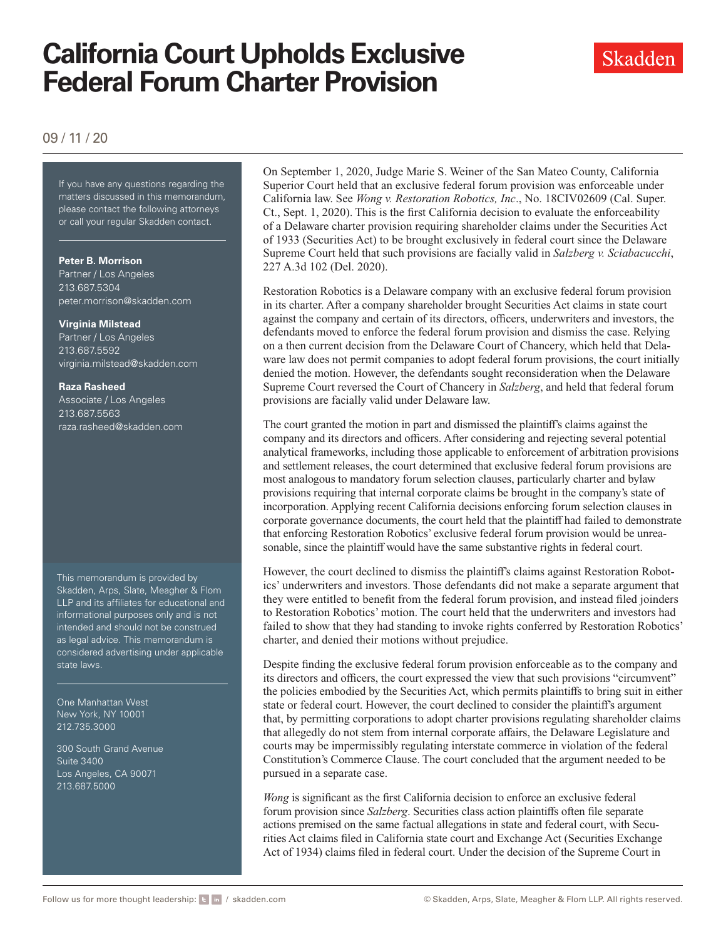# **California Court Upholds Exclusive Federal Forum Charter Provision**



### 09 / 11 / 20

If you have any questions regarding If you have any questions regarding the matters discussed in this memorandum, please contact the following attorneys or call your regular Skadden contact.

#### **Peter B. Morrison**

Partner / Los Angeles 213.687.5304 [peter.morrison@skadden.com](mailto: peter.morrison@skadden.com)

#### **Virginia Milstead**

Partner / Los Angeles 213.687.5592 [virginia.milstead@skadden.com](mailto: virginia.milstead@skadden.com)

#### **Raza Rasheed**

Associate / Los Angeles 213.687.5563 [raza.rasheed@skadden.com](mailto: raza.rasheed@skadden.com)

This memorandum is provided by Skadden, Arps, Slate, Meagher & Flom LLP and its affiliates for educational and informational purposes only and is not intended and should not be construed as legal advice. This memorandum is considered advertising under applicable state laws.

One Manhattan West New York, NY 10001 212.735.3000

300 South Grand Avenue Suite 3400 Los Angeles, CA 90071 213.687.5000

On September 1, 2020, Judge Marie S. Weiner of the San Mateo County, California Superior Court held that an exclusive federal forum provision was enforceable under California law. See *Wong v. Restoration Robotics, Inc*., No. 18CIV02609 (Cal. Super. Ct., Sept. 1, 2020). This is the first California decision to evaluate the enforceability of a Delaware charter provision requiring shareholder claims under the Securities Act of 1933 (Securities Act) to be brought exclusively in federal court since the Delaware Supreme Court held that such provisions are facially valid in *Salzberg v. Sciabacucchi*, 227 A.3d 102 (Del. 2020).

Restoration Robotics is a Delaware company with an exclusive federal forum provision in its charter. After a company shareholder brought Securities Act claims in state court against the company and certain of its directors, officers, underwriters and investors, the defendants moved to enforce the federal forum provision and dismiss the case. Relying on a then current decision from the Delaware Court of Chancery, which held that Delaware law does not permit companies to adopt federal forum provisions, the court initially denied the motion. However, the defendants sought reconsideration when the Delaware Supreme Court reversed the Court of Chancery in *Salzberg*, and held that federal forum provisions are facially valid under Delaware law.

The court granted the motion in part and dismissed the plaintiff's claims against the company and its directors and officers. After considering and rejecting several potential analytical frameworks, including those applicable to enforcement of arbitration provisions and settlement releases, the court determined that exclusive federal forum provisions are most analogous to mandatory forum selection clauses, particularly charter and bylaw provisions requiring that internal corporate claims be brought in the company's state of incorporation. Applying recent California decisions enforcing forum selection clauses in corporate governance documents, the court held that the plaintiff had failed to demonstrate that enforcing Restoration Robotics' exclusive federal forum provision would be unreasonable, since the plaintiff would have the same substantive rights in federal court.

However, the court declined to dismiss the plaintiff's claims against Restoration Robotics' underwriters and investors. Those defendants did not make a separate argument that they were entitled to benefit from the federal forum provision, and instead filed joinders to Restoration Robotics' motion. The court held that the underwriters and investors had failed to show that they had standing to invoke rights conferred by Restoration Robotics' charter, and denied their motions without prejudice.

Despite finding the exclusive federal forum provision enforceable as to the company and its directors and officers, the court expressed the view that such provisions "circumvent" the policies embodied by the Securities Act, which permits plaintiffs to bring suit in either state or federal court. However, the court declined to consider the plaintiff's argument that, by permitting corporations to adopt charter provisions regulating shareholder claims that allegedly do not stem from internal corporate affairs, the Delaware Legislature and courts may be impermissibly regulating interstate commerce in violation of the federal Constitution's Commerce Clause. The court concluded that the argument needed to be pursued in a separate case.

*Wong* is significant as the first California decision to enforce an exclusive federal forum provision since *Salzberg*. Securities class action plaintiffs often file separate actions premised on the same factual allegations in state and federal court, with Securities Act claims filed in California state court and Exchange Act (Securities Exchange Act of 1934) claims filed in federal court. Under the decision of the Supreme Court in